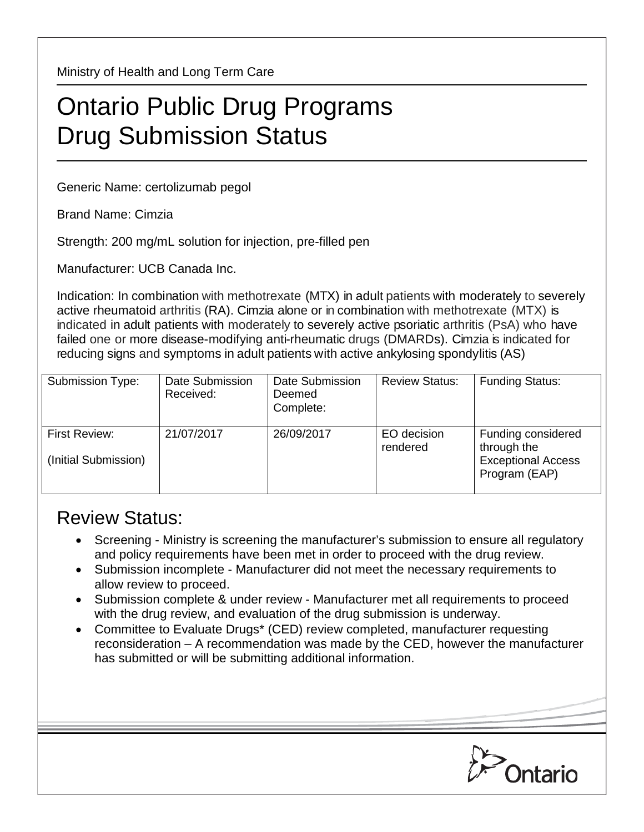Ministry of Health and Long Term Care

## Ontario Public Drug Programs Drug Submission Status

Generic Name: certolizumab pegol

Brand Name: Cimzia

Strength: 200 mg/mL solution for injection, pre-filled pen

Manufacturer: UCB Canada Inc.

Indication: In combination with methotrexate (MTX) in adult patients with moderately to severely active rheumatoid arthritis (RA). Cimzia alone or in combination with methotrexate (MTX) is indicated in adult patients with moderately to severely active psoriatic arthritis (PsA) who have failed one or more disease-modifying anti-rheumatic drugs (DMARDs). Cimzia is indicated for reducing signs and symptoms in adult patients with active ankylosing spondylitis (AS)

| Submission Type:                      | Date Submission<br>Received: | Date Submission<br>Deemed<br>Complete: | <b>Review Status:</b>   | <b>Funding Status:</b>                                                          |
|---------------------------------------|------------------------------|----------------------------------------|-------------------------|---------------------------------------------------------------------------------|
| First Review:<br>(Initial Submission) | 21/07/2017                   | 26/09/2017                             | EO decision<br>rendered | Funding considered<br>through the<br><b>Exceptional Access</b><br>Program (EAP) |

## Review Status:

- Screening Ministry is screening the manufacturer's submission to ensure all regulatory and policy requirements have been met in order to proceed with the drug review.
- Submission incomplete Manufacturer did not meet the necessary requirements to allow review to proceed.
- Submission complete & under review Manufacturer met all requirements to proceed with the drug review, and evaluation of the drug submission is underway.
- Committee to Evaluate Drugs\* (CED) review completed, manufacturer requesting reconsideration – A recommendation was made by the CED, however the manufacturer has submitted or will be submitting additional information.